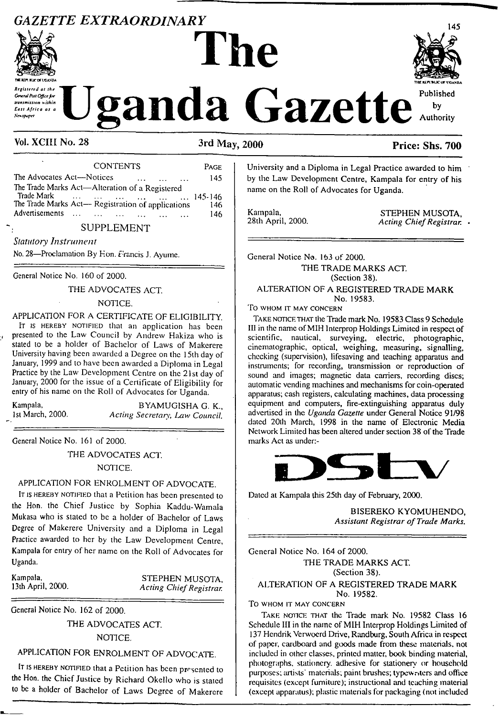# *GAZETTE EXTRAORDINARY* <sup>145</sup>



*Registered at the Genend fha Officef>r transmission within Eatt Africa at a Xe\*spaper*

# **The**



**Janda Gazette** Authority by Authority

## Vol. XCIII No. 28 3rd May, 2000 Price: Shs. 700

CONTENTS Page The Advocates Act—Notices .......................... 145 The Trade Marks Act—Alteration of a Registered<br>Trade Mark enterprise the contract of the 145-146 Trade Mark ...............................................................145-146 The Trade Marks Act— Registration of applications 146 Advertisements ... ... ... ... ... ... 146

#### SUPPLEMENT

*Statutory Instrument*

No. 28—Proclamation By Eon. Francis J. Ayuine.

General Notice No. 160 of 2000.

THE ADVOCATES ACT.

NOTICE.

APPLICATION FOR A CERTIFICATE OF ELIGIBILITY. IT is HEREBY NOTIFIED that an application has been presented to the Law Council by Andrew Hakiza who is stated to be a holder of Bachelor of Laws of Makerere University having been awarded a Degree on the 15th day of January, 1999 and to have been awarded a Diploma in Legal Practice by the Law Development Centre on the 21st day of January, 2000 for the issue of a Certificate of Eligibility for entry of his name on the Roll of Advocates for Uganda.

Kampala, BYAMUGISHA G. K., Ist March, 2000. Acting Secretary, Law Council. 1st March, 2000. *Acting Secretary, Law Council.*

General Notice No. 161 of 2000.

THE ADVOCATES ACT. NOTICE.

#### APPLICATION FOR ENROLMENT OF ADVOCATE.

I<sup>t</sup> is hereby notified that a Petition has been presented to the Hon. the Chief Justice by Sophia Kaddu-Wamala Mukasa who is staled to be a holder of Bachelor of Laws Degree of Makerere University and a Diploma in Legal Practice awarded to her by the Law Development Centre, Kampala for entry of her name on the Roll of Advocates for Uganda.

Kampala, STEPHEN MUSOTA, 13th April, 2000, *Acting ChiefRegistrar.*

General Notice No. 162 of 2000.

THE ADVOCATES ACT. NOTICE.

## APPLICATION FOR ENROLMENT OF ADVOCATE.

I<sup>t</sup> is hereby notified that a Petition has been presented to the Hon. the Chief Justice by Richard Okello who is stated to be a holder of Bachelor of Laws Degree of Makerere

University and a Diploma in Legal Practice awarded to him by the Law Development Centre, Kampala for entry of his name on the Roll of Advocates for Uganda.

Kampala, 28th April, 2000.

STEPHEN MUSOTA, *Acting ChiefRegistrar. •*

General Notice No. 163 of 2000. THE TRADE MARKS ACT. (Section 38).

ALTERATION OF A REGISTERED TRADE MARK No. 19583.

TO WHOM IT MAY CONCERN

TAKE NOTICE THAT the Trade mark No. 19583 Class 9 Schedule III in the name of MIH Interprop Holdings Limited in respect of scientific, nautical, surveying, electric, photographic, cinematographic, optical, weighing, measuring, signalling, checking (supervision), lifesaving and leaching apparatus and instruments; for recording, transmission or reproduction of sound and images; magnetic data carriers, recording discs; automatic vending machines and mechanisms for coin-operated apparatus; cash registers, calculating machines, dala processing equipment and computers, fire-extinguishing apparatus duly advertised in the *Uganda Gazette* under General Notice 91/98 dated 20th March, 1998 in the name of Electronic Media Network Limited has been altered under section 38 of the Trade marks Act as under:-



Datcd at Kampala this 25th day of February, 2000.

BISEREKO KYOMUHENDO, *Assistant Registrar of Trade Marks.*

General Notice No. 164 of 2000. THE TRADE MARKS ACT. (Section 38). ALTERATION OF A REGISTERED TRADE MARK No. 19582.

To WHOM IT MAY CONCERN

TAKE NOTICE THAT the Trade mark No. 19582 Class 16 Schedule III in the name of MIH Interprop Holdings Limited of 137 Hendrik Vcrwoerd Drive, Randburg, South Africa in respect of paper, cardboard and goods made from these materials, not included in other classes, printed matter, book binding material, photographs, stationery, adhesive for stationery or household purposes; artists' materials; paint brushes; typewriters and office requisites (except furniture); instructional and teaching material (except apparatus); plastic materials for packaging (not included